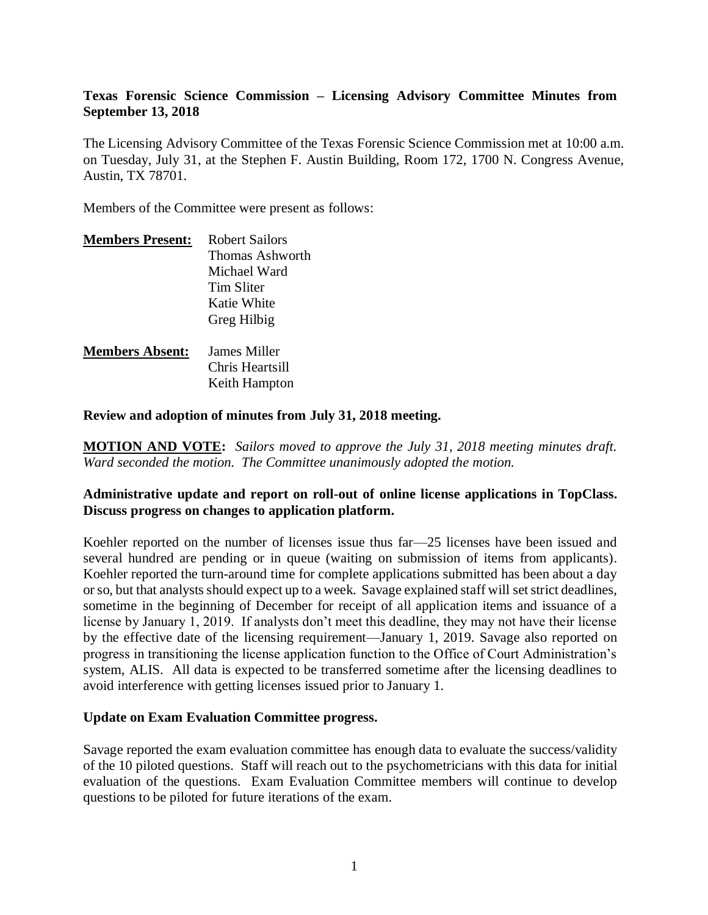## **Texas Forensic Science Commission – Licensing Advisory Committee Minutes from September 13, 2018**

The Licensing Advisory Committee of the Texas Forensic Science Commission met at 10:00 a.m. on Tuesday, July 31, at the Stephen F. Austin Building, Room 172, 1700 N. Congress Avenue, Austin, TX 78701.

Members of the Committee were present as follows:

| <b>Members Present:</b> | <b>Robert Sailors</b> |
|-------------------------|-----------------------|
|                         | Thomas Ashworth       |
|                         | Michael Ward          |
|                         | Tim Sliter            |
|                         | Katie White           |
|                         | Greg Hilbig           |
| <b>Members Absent:</b>  | James Miller          |
|                         | Chris Heartsill       |
|                         | Keith Hampton         |

**Review and adoption of minutes from July 31, 2018 meeting.**

**MOTION AND VOTE:** *Sailors moved to approve the July 31, 2018 meeting minutes draft. Ward seconded the motion. The Committee unanimously adopted the motion.*

#### **Administrative update and report on roll-out of online license applications in TopClass. Discuss progress on changes to application platform.**

Koehler reported on the number of licenses issue thus far—25 licenses have been issued and several hundred are pending or in queue (waiting on submission of items from applicants). Koehler reported the turn-around time for complete applications submitted has been about a day or so, but that analysts should expect up to a week. Savage explained staff will set strict deadlines, sometime in the beginning of December for receipt of all application items and issuance of a license by January 1, 2019. If analysts don't meet this deadline, they may not have their license by the effective date of the licensing requirement—January 1, 2019. Savage also reported on progress in transitioning the license application function to the Office of Court Administration's system, ALIS. All data is expected to be transferred sometime after the licensing deadlines to avoid interference with getting licenses issued prior to January 1.

#### **Update on Exam Evaluation Committee progress.**

Savage reported the exam evaluation committee has enough data to evaluate the success/validity of the 10 piloted questions. Staff will reach out to the psychometricians with this data for initial evaluation of the questions. Exam Evaluation Committee members will continue to develop questions to be piloted for future iterations of the exam.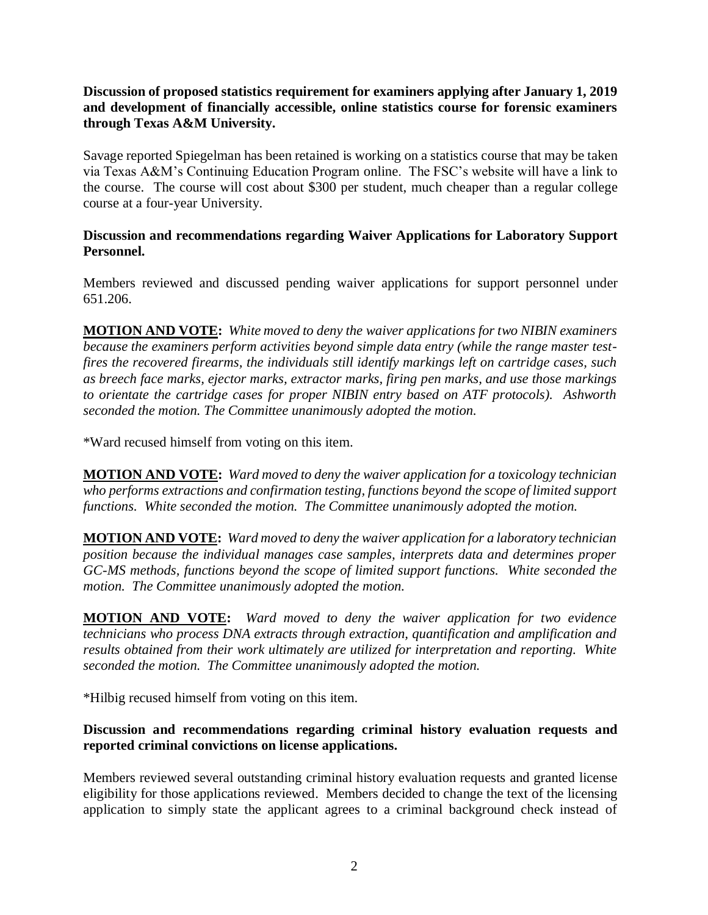**Discussion of proposed statistics requirement for examiners applying after January 1, 2019 and development of financially accessible, online statistics course for forensic examiners through Texas A&M University.** 

Savage reported Spiegelman has been retained is working on a statistics course that may be taken via Texas A&M's Continuing Education Program online. The FSC's website will have a link to the course. The course will cost about \$300 per student, much cheaper than a regular college course at a four-year University.

## **Discussion and recommendations regarding Waiver Applications for Laboratory Support Personnel.**

Members reviewed and discussed pending waiver applications for support personnel under 651.206.

**MOTION AND VOTE:** *White moved to deny the waiver applications for two NIBIN examiners because the examiners perform activities beyond simple data entry (while the range master testfires the recovered firearms, the individuals still identify markings left on cartridge cases, such as breech face marks, ejector marks, extractor marks, firing pen marks, and use those markings to orientate the cartridge cases for proper NIBIN entry based on ATF protocols). Ashworth seconded the motion. The Committee unanimously adopted the motion.*

\*Ward recused himself from voting on this item.

**MOTION AND VOTE:** *Ward moved to deny the waiver application for a toxicology technician who performs extractions and confirmation testing, functions beyond the scope of limited support functions. White seconded the motion. The Committee unanimously adopted the motion.*

**MOTION AND VOTE:** *Ward moved to deny the waiver application for a laboratory technician position because the individual manages case samples, interprets data and determines proper GC-MS methods, functions beyond the scope of limited support functions. White seconded the motion. The Committee unanimously adopted the motion.*

**MOTION AND VOTE:** *Ward moved to deny the waiver application for two evidence technicians who process DNA extracts through extraction, quantification and amplification and results obtained from their work ultimately are utilized for interpretation and reporting. White seconded the motion. The Committee unanimously adopted the motion.*

\*Hilbig recused himself from voting on this item.

# **Discussion and recommendations regarding criminal history evaluation requests and reported criminal convictions on license applications.**

Members reviewed several outstanding criminal history evaluation requests and granted license eligibility for those applications reviewed. Members decided to change the text of the licensing application to simply state the applicant agrees to a criminal background check instead of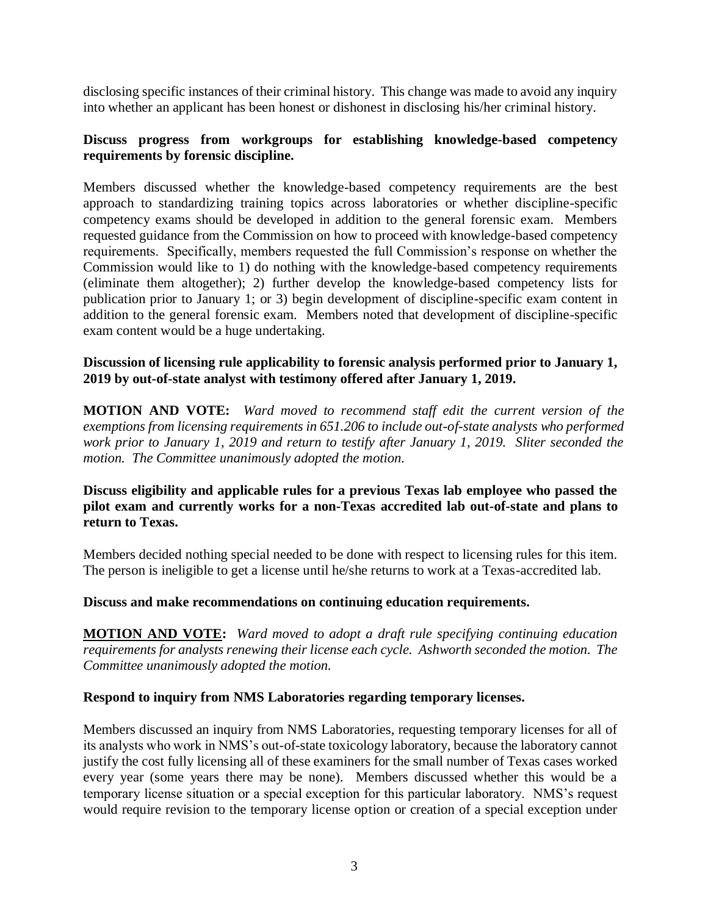disclosing specific instances of their criminal history. This change was made to avoid any inquiry into whether an applicant has been honest or dishonest in disclosing his/her criminal history.

# **Discuss progress from workgroups for establishing knowledge-based competency requirements by forensic discipline.**

Members discussed whether the knowledge-based competency requirements are the best approach to standardizing training topics across laboratories or whether discipline-specific competency exams should be developed in addition to the general forensic exam. Members requested guidance from the Commission on how to proceed with knowledge-based competency requirements. Specifically, members requested the full Commission's response on whether the Commission would like to 1) do nothing with the knowledge-based competency requirements (eliminate them altogether); 2) further develop the knowledge-based competency lists for publication prior to January 1; or 3) begin development of discipline-specific exam content in addition to the general forensic exam. Members noted that development of discipline-specific exam content would be a huge undertaking.

## **Discussion of licensing rule applicability to forensic analysis performed prior to January 1, 2019 by out-of-state analyst with testimony offered after January 1, 2019.**

**MOTION AND VOTE:** *Ward moved to recommend staff edit the current version of the exemptions from licensing requirements in 651.206 to include out-of-state analysts who performed work prior to January 1, 2019 and return to testify after January 1, 2019. Sliter seconded the motion. The Committee unanimously adopted the motion.*

## **Discuss eligibility and applicable rules for a previous Texas lab employee who passed the pilot exam and currently works for a non-Texas accredited lab out-of-state and plans to return to Texas.**

Members decided nothing special needed to be done with respect to licensing rules for this item. The person is ineligible to get a license until he/she returns to work at a Texas-accredited lab.

#### **Discuss and make recommendations on continuing education requirements.**

**MOTION AND VOTE:** *Ward moved to adopt a draft rule specifying continuing education requirements for analysts renewing their license each cycle. Ashworth seconded the motion. The Committee unanimously adopted the motion.*

#### **Respond to inquiry from NMS Laboratories regarding temporary licenses.**

Members discussed an inquiry from NMS Laboratories, requesting temporary licenses for all of its analysts who work in NMS's out-of-state toxicology laboratory, because the laboratory cannot justify the cost fully licensing all of these examiners for the small number of Texas cases worked every year (some years there may be none). Members discussed whether this would be a temporary license situation or a special exception for this particular laboratory. NMS's request would require revision to the temporary license option or creation of a special exception under